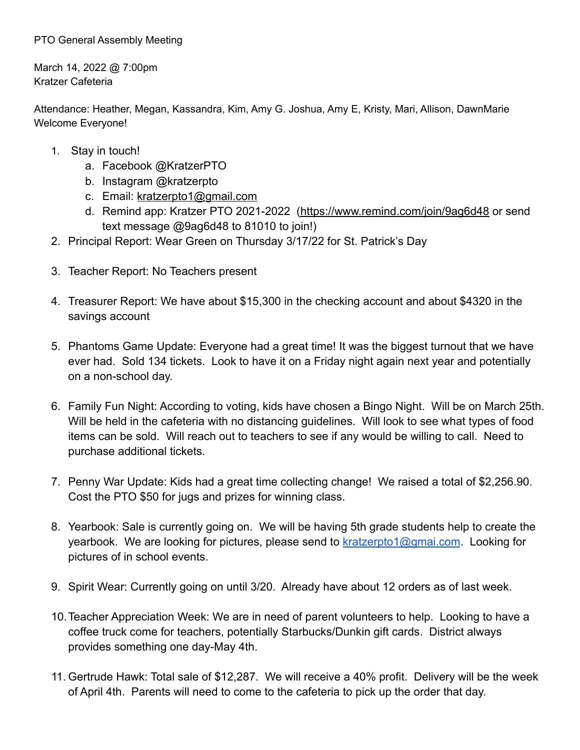## PTO General Assembly Meeting

March 14, 2022 @ 7:00pm Kratzer Cafeteria

Attendance: Heather, Megan, Kassandra, Kim, Amy G. Joshua, Amy E, Kristy, Mari, Allison, DawnMarie Welcome Everyone!

- 1. Stay in touch!
	- a. Facebook @KratzerPTO
	- b. Instagram @kratzerpto
	- c. Email: [kratzerpto1@gmail.com](mailto:kratzerpto1@gmail.com)
	- d. Remind app: Kratzer PTO 2021-2022 [\(https://www.remind.com/join/9ag6d48](https://www.remind.com/join/9ag6d48) or send text message @9ag6d48 to 81010 to join!)
- 2. Principal Report: Wear Green on Thursday 3/17/22 for St. Patrick's Day
- 3. Teacher Report: No Teachers present
- 4. Treasurer Report: We have about \$15,300 in the checking account and about \$4320 in the savings account
- 5. Phantoms Game Update: Everyone had a great time! It was the biggest turnout that we have ever had. Sold 134 tickets. Look to have it on a Friday night again next year and potentially on a non-school day.
- 6. Family Fun Night: According to voting, kids have chosen a Bingo Night. Will be on March 25th. Will be held in the cafeteria with no distancing guidelines. Will look to see what types of food items can be sold. Will reach out to teachers to see if any would be willing to call. Need to purchase additional tickets.
- 7. Penny War Update: Kids had a great time collecting change! We raised a total of \$2,256.90. Cost the PTO \$50 for jugs and prizes for winning class.
- 8. Yearbook: Sale is currently going on. We will be having 5th grade students help to create the yearbook. We are looking for pictures, please send to [kratzerpto1@gmai.com](mailto:kratzerpto1@gmai.com). Looking for pictures of in school events.
- 9. Spirit Wear: Currently going on until 3/20. Already have about 12 orders as of last week.
- 10.Teacher Appreciation Week: We are in need of parent volunteers to help. Looking to have a coffee truck come for teachers, potentially Starbucks/Dunkin gift cards. District always provides something one day-May 4th.
- 11. Gertrude Hawk: Total sale of \$12,287. We will receive a 40% profit. Delivery will be the week of April 4th. Parents will need to come to the cafeteria to pick up the order that day.